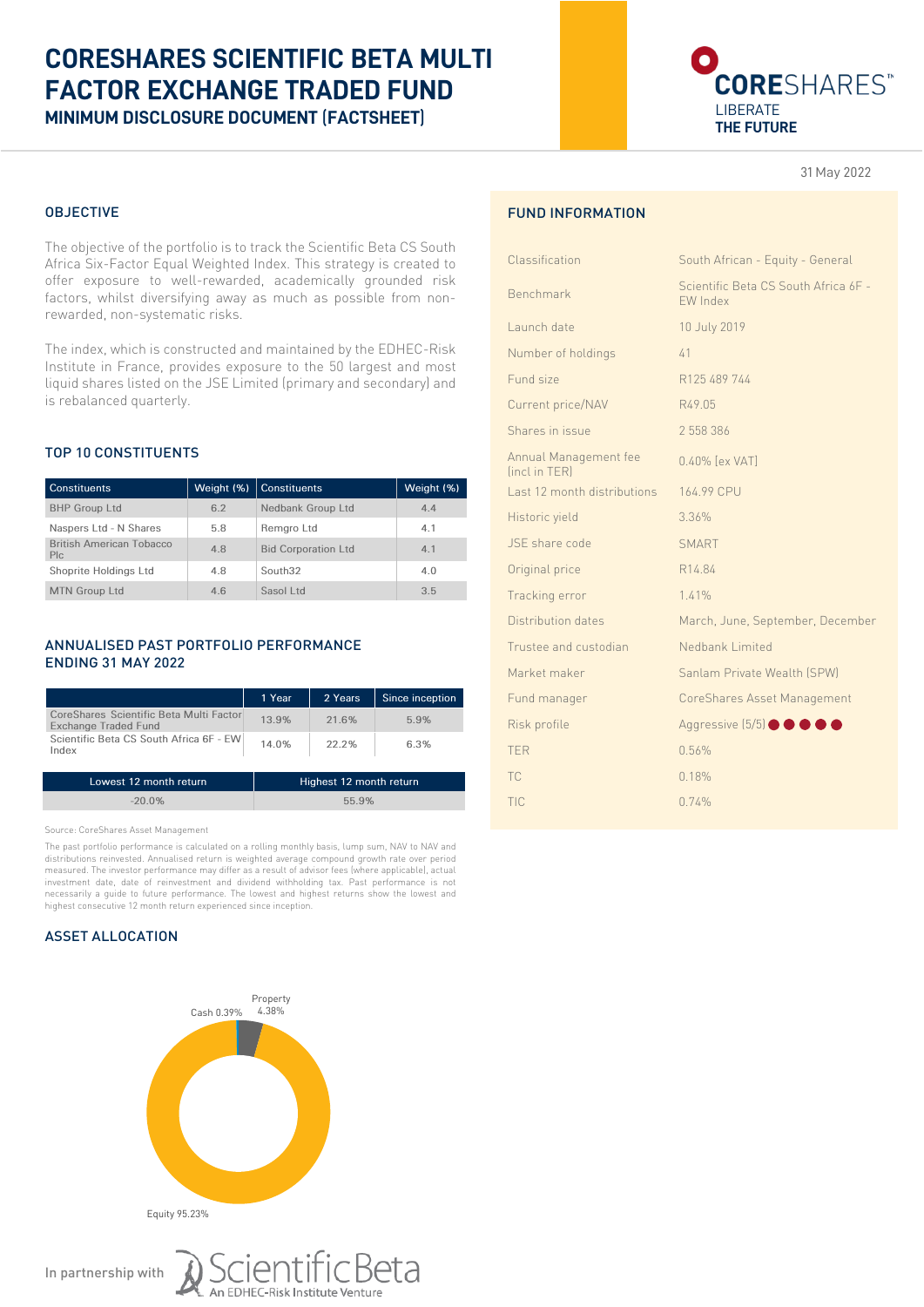# **CORESHARES SCIENTIFIC BETA MULTI FACTOR EXCHANGE TRADED FUND MINIMUM DISCLOSURE DOCUMENT** (**FACTSHEET**)



31 May 2022

## OBJECTIVE

The objective of the portfolio is to track the Scientific Beta CS South Africa Six-Factor Equal Weighted Index. This strategy is created to offer exposure to well-rewarded, academically grounded risk factors, whilst diversifying away as much as possible from nonrewarded, non-systematic risks.

The index, which is constructed and maintained by the EDHEC-Risk Institute in France, provides exposure to the 50 largest and most liquid shares listed on the JSE Limited (primary and secondary) and is rebalanced quarterly.

## TOP 10 CONSTITUENTS

| <b>Constituents</b>                    |     | Weight (%)   Constituents  | Weight (%) |
|----------------------------------------|-----|----------------------------|------------|
| <b>BHP Group Ltd</b>                   | 6.2 | Nedbank Group Ltd          | 4.4        |
| Naspers Ltd - N Shares                 | 5.8 | Remgro Ltd                 | 4.1        |
| <b>British American Tobacco</b><br>Plc | 4.8 | <b>Bid Corporation Ltd</b> | 4.1        |
| Shoprite Holdings Ltd                  | 4.8 | South <sub>32</sub>        | 4.0        |
| <b>MTN Group Ltd</b>                   | 4.6 | Sasol Ltd                  | 3.5        |

## ANNUALISED PAST PORTFOLIO PERFORMANCE ENDING 31 MAY 2022

|                                                                                                                            | 1 Year | 2 Years | Since inception |
|----------------------------------------------------------------------------------------------------------------------------|--------|---------|-----------------|
| CoreShares Scientific Beta Multi Factor<br><b>Exchange Traded Fund</b><br>Scientific Beta CS South Africa 6F - EW<br>Index | 13.9%  | 21.6%   | 5.9%            |
|                                                                                                                            | 14.0%  | 22.2%   | 6.3%            |

| Lowest 12 month return | Highest 12 month return |
|------------------------|-------------------------|
| $-20.0\%$              | 55.9%                   |

Source: CoreShares Asset Management

The past portfolio performance is calculated on a rolling monthly basis, lump sum, NAV to NAV and distributions reinvested. Annualised return is weighted average compound growth rate over period measured. The investor performance may differ as a result of advisor fees (where applicable), actual investment date, date of reinvestment and dividend withholding tax. Past performance is not necessarily a guide to future performance. The lowest and highest returns show the lowest and highest consecutive 12 month return experienced since inception.

## ASSET ALLOCATION



Scientific Beta

## FUND INFORMATION

| South African - Equity - General                        |  |
|---------------------------------------------------------|--|
| Scientific Beta CS South Africa 6F -<br><b>FW Index</b> |  |
| 10 July 2019                                            |  |
| 41                                                      |  |
| R125 489 744                                            |  |
| R49.05                                                  |  |
| 2 558 386                                               |  |
| 0.40% [ex VAT]                                          |  |
| 164.99 CPU                                              |  |
| 3.36%                                                   |  |
| <b>SMART</b>                                            |  |
| R14.84                                                  |  |
| 1.41%                                                   |  |
| March, June, September, December                        |  |
| Nedbank Limited                                         |  |
| Sanlam Private Wealth (SPW)                             |  |
| CoreShares Asset Management                             |  |
| Aggressive (5/5) <b>OOOO</b>                            |  |
| 0.56%                                                   |  |
| 0.18%                                                   |  |
| 0.74%                                                   |  |
|                                                         |  |